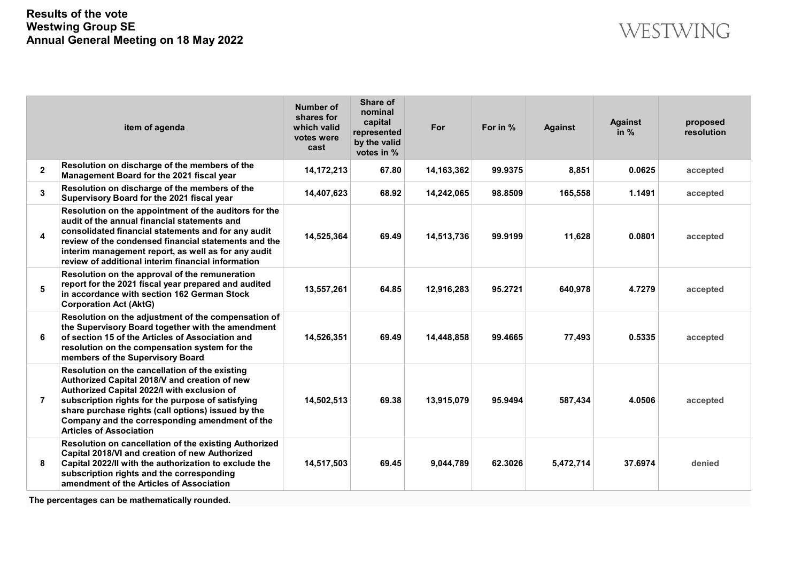|                | item of agenda                                                                                                                                                                                                                                                                                                                                | Number of<br>shares for<br>which valid<br>votes were<br>cast | Share of<br>nominal<br>capital<br>represented<br>by the valid<br>votes in % | For        | For in % | <b>Against</b> | <b>Against</b><br>in $%$ | proposed<br>resolution |
|----------------|-----------------------------------------------------------------------------------------------------------------------------------------------------------------------------------------------------------------------------------------------------------------------------------------------------------------------------------------------|--------------------------------------------------------------|-----------------------------------------------------------------------------|------------|----------|----------------|--------------------------|------------------------|
| $\overline{2}$ | Resolution on discharge of the members of the<br>Management Board for the 2021 fiscal year                                                                                                                                                                                                                                                    | 14,172,213                                                   | 67.80                                                                       | 14,163,362 | 99.9375  | 8,851          | 0.0625                   | accepted               |
| 3              | Resolution on discharge of the members of the<br>Supervisory Board for the 2021 fiscal year                                                                                                                                                                                                                                                   | 14,407,623                                                   | 68.92                                                                       | 14,242,065 | 98.8509  | 165,558        | 1.1491                   | accepted               |
| 4              | Resolution on the appointment of the auditors for the<br>audit of the annual financial statements and<br>consolidated financial statements and for any audit<br>review of the condensed financial statements and the<br>interim management report, as well as for any audit<br>review of additional interim financial information             | 14,525,364                                                   | 69.49                                                                       | 14,513,736 | 99.9199  | 11,628         | 0.0801                   | accepted               |
| 5              | Resolution on the approval of the remuneration<br>report for the 2021 fiscal year prepared and audited<br>in accordance with section 162 German Stock<br><b>Corporation Act (AktG)</b>                                                                                                                                                        | 13,557,261                                                   | 64.85                                                                       | 12,916,283 | 95.2721  | 640,978        | 4.7279                   | accepted               |
| 6              | Resolution on the adjustment of the compensation of<br>the Supervisory Board together with the amendment<br>of section 15 of the Articles of Association and<br>resolution on the compensation system for the<br>members of the Supervisory Board                                                                                             | 14,526,351                                                   | 69.49                                                                       | 14,448,858 | 99.4665  | 77,493         | 0.5335                   | accepted               |
| $\overline{7}$ | Resolution on the cancellation of the existing<br>Authorized Capital 2018/V and creation of new<br>Authorized Capital 2022/l with exclusion of<br>subscription rights for the purpose of satisfying<br>share purchase rights (call options) issued by the<br>Company and the corresponding amendment of the<br><b>Articles of Association</b> | 14,502,513                                                   | 69.38                                                                       | 13,915,079 | 95.9494  | 587.434        | 4.0506                   | accepted               |
| 8              | Resolution on cancellation of the existing Authorized<br>Capital 2018/VI and creation of new Authorized<br>Capital 2022/II with the authorization to exclude the<br>subscription rights and the corresponding<br>amendment of the Articles of Association                                                                                     | 14,517,503                                                   | 69.45                                                                       | 9,044,789  | 62.3026  | 5,472,714      | 37.6974                  | denied                 |

**The percentages can be mathematically rounded.**